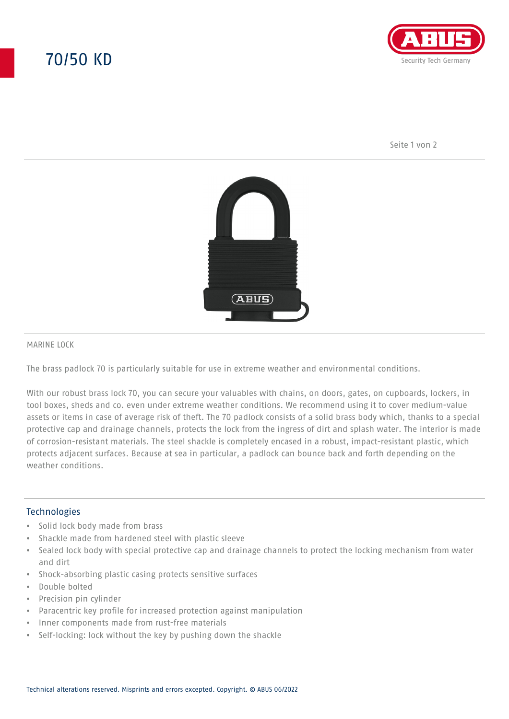# 70/50 KD



Seite 1 von 2



#### MARINE LOCK

The brass padlock 70 is particularly suitable for use in extreme weather and environmental conditions.

With our robust brass lock 70, you can secure your valuables with chains, on doors, gates, on cupboards, lockers, in tool boxes, sheds and co. even under extreme weather conditions. We recommend using it to cover medium-value assets or items in case of average risk of theft. The 70 padlock consists of a solid brass body which, thanks to a special protective cap and drainage channels, protects the lock from the ingress of dirt and splash water. The interior is made of corrosion-resistant materials. The steel shackle is completely encased in a robust, impact-resistant plastic, which protects adjacent surfaces. Because at sea in particular, a padlock can bounce back and forth depending on the weather conditions.

### **Technologies**

- Solid lock body made from brass
- Shackle made from hardened steel with plastic sleeve
- Sealed lock body with special protective cap and drainage channels to protect the locking mechanism from water and dirt
- Shock-absorbing plastic casing protects sensitive surfaces
- Double bolted
- Precision pin cylinder
- Paracentric key profile for increased protection against manipulation
- Inner components made from rust-free materials
- Self-locking: lock without the key by pushing down the shackle